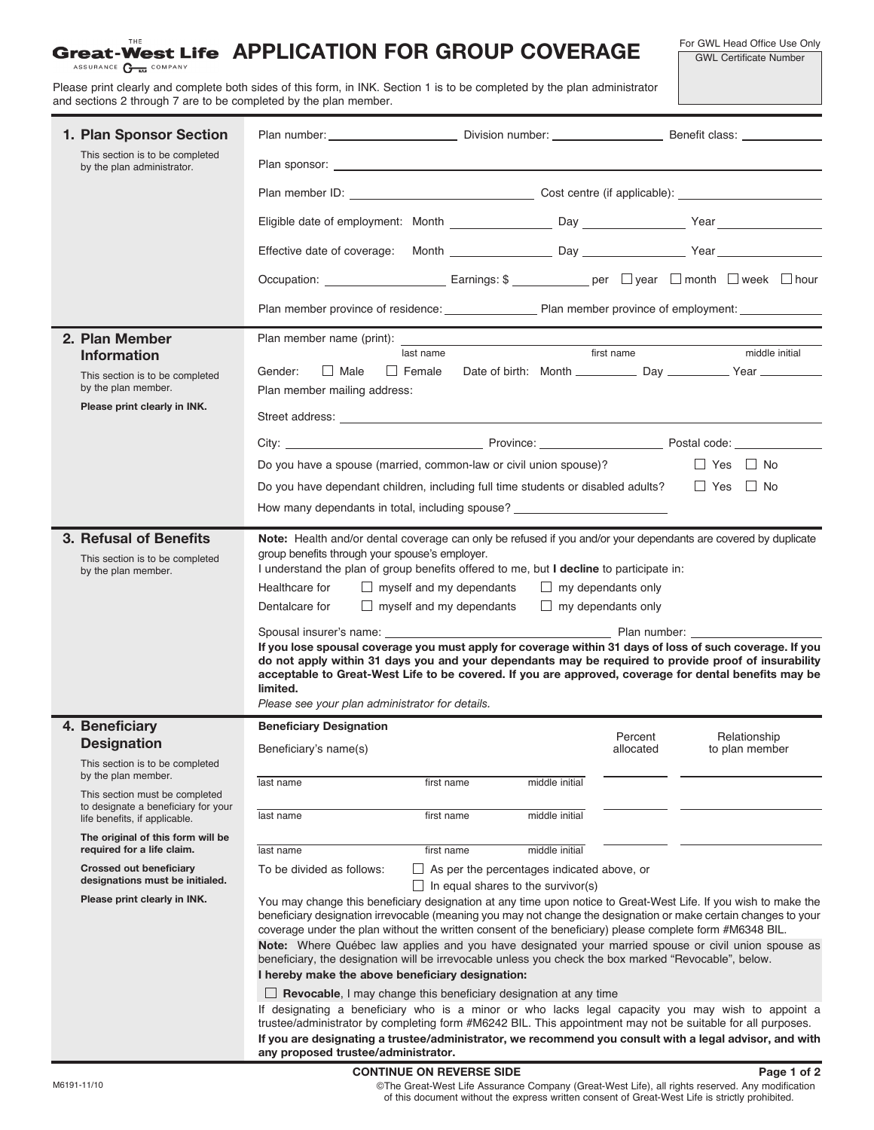## **Great-West Life APPLICATION FOR GROUP COVERAGE**

For GWL Head Office Use Only GWL Certificate Number

ASSURANCE COMPANY

Please print clearly and complete both sides of this form, in INK. Section 1 is to be completed by the plan administrator and sections 2 through 7 are to be completed by the plan member.

| 1. Plan Sponsor Section<br>This section is to be completed                                             |                                                                                                                                                                                                                                                                                                                                                                                                                                                                                                                                                                                                                                                                                                                |                                                                                                |                                |  |  |  |  |  |
|--------------------------------------------------------------------------------------------------------|----------------------------------------------------------------------------------------------------------------------------------------------------------------------------------------------------------------------------------------------------------------------------------------------------------------------------------------------------------------------------------------------------------------------------------------------------------------------------------------------------------------------------------------------------------------------------------------------------------------------------------------------------------------------------------------------------------------|------------------------------------------------------------------------------------------------|--------------------------------|--|--|--|--|--|
| by the plan administrator.                                                                             |                                                                                                                                                                                                                                                                                                                                                                                                                                                                                                                                                                                                                                                                                                                |                                                                                                |                                |  |  |  |  |  |
|                                                                                                        |                                                                                                                                                                                                                                                                                                                                                                                                                                                                                                                                                                                                                                                                                                                |                                                                                                |                                |  |  |  |  |  |
|                                                                                                        |                                                                                                                                                                                                                                                                                                                                                                                                                                                                                                                                                                                                                                                                                                                |                                                                                                |                                |  |  |  |  |  |
|                                                                                                        |                                                                                                                                                                                                                                                                                                                                                                                                                                                                                                                                                                                                                                                                                                                |                                                                                                |                                |  |  |  |  |  |
|                                                                                                        |                                                                                                                                                                                                                                                                                                                                                                                                                                                                                                                                                                                                                                                                                                                |                                                                                                |                                |  |  |  |  |  |
|                                                                                                        | Plan member province of residence: Plan member province of employment:                                                                                                                                                                                                                                                                                                                                                                                                                                                                                                                                                                                                                                         |                                                                                                |                                |  |  |  |  |  |
| 2. Plan Member                                                                                         | Plan member name (print):                                                                                                                                                                                                                                                                                                                                                                                                                                                                                                                                                                                                                                                                                      |                                                                                                |                                |  |  |  |  |  |
| <b>Information</b>                                                                                     | last name                                                                                                                                                                                                                                                                                                                                                                                                                                                                                                                                                                                                                                                                                                      | first name                                                                                     | middle initial                 |  |  |  |  |  |
| This section is to be completed<br>by the plan member.                                                 | $\Box$ Male<br>Gender:<br>Plan member mailing address:                                                                                                                                                                                                                                                                                                                                                                                                                                                                                                                                                                                                                                                         |                                                                                                |                                |  |  |  |  |  |
| Please print clearly in INK.                                                                           |                                                                                                                                                                                                                                                                                                                                                                                                                                                                                                                                                                                                                                                                                                                |                                                                                                |                                |  |  |  |  |  |
|                                                                                                        |                                                                                                                                                                                                                                                                                                                                                                                                                                                                                                                                                                                                                                                                                                                |                                                                                                |                                |  |  |  |  |  |
|                                                                                                        | Do you have a spouse (married, common-law or civil union spouse)?                                                                                                                                                                                                                                                                                                                                                                                                                                                                                                                                                                                                                                              |                                                                                                | $\Box$ Yes $\Box$ No           |  |  |  |  |  |
|                                                                                                        | Do you have dependant children, including full time students or disabled adults?                                                                                                                                                                                                                                                                                                                                                                                                                                                                                                                                                                                                                               |                                                                                                | Yes No                         |  |  |  |  |  |
|                                                                                                        | How many dependants in total, including spouse?                                                                                                                                                                                                                                                                                                                                                                                                                                                                                                                                                                                                                                                                |                                                                                                |                                |  |  |  |  |  |
| 3. Refusal of Benefits<br>This section is to be completed<br>by the plan member.                       | Note: Health and/or dental coverage can only be refused if you and/or your dependants are covered by duplicate<br>group benefits through your spouse's employer.<br>I understand the plan of group benefits offered to me, but I decline to participate in:<br>$\Box$ myself and my dependants<br>Healthcare for<br>$\Box$ myself and my dependants<br>Dentalcare for<br>If you lose spousal coverage you must apply for coverage within 31 days of loss of such coverage. If you<br>do not apply within 31 days you and your dependants may be required to provide proof of insurability<br>acceptable to Great-West Life to be covered. If you are approved, coverage for dental benefits may be<br>limited. | $\Box$ my dependants only<br>$\Box$ my dependants only                                         |                                |  |  |  |  |  |
|                                                                                                        | Please see your plan administrator for details.                                                                                                                                                                                                                                                                                                                                                                                                                                                                                                                                                                                                                                                                |                                                                                                |                                |  |  |  |  |  |
| 4. Beneficiary<br><b>Designation</b>                                                                   | <b>Beneficiary Designation</b><br>Beneficiary's name(s)                                                                                                                                                                                                                                                                                                                                                                                                                                                                                                                                                                                                                                                        | Percent<br>allocated                                                                           | Relationship<br>to plan member |  |  |  |  |  |
| This section is to be completed<br>by the plan member.                                                 | last name<br>first name                                                                                                                                                                                                                                                                                                                                                                                                                                                                                                                                                                                                                                                                                        | middle initial                                                                                 |                                |  |  |  |  |  |
| This section must be completed<br>to designate a beneficiary for your<br>life benefits, if applicable. | first name<br>last name                                                                                                                                                                                                                                                                                                                                                                                                                                                                                                                                                                                                                                                                                        | middle initial                                                                                 |                                |  |  |  |  |  |
| The original of this form will be<br>required for a life claim.                                        | last name<br>first name                                                                                                                                                                                                                                                                                                                                                                                                                                                                                                                                                                                                                                                                                        | middle initial                                                                                 |                                |  |  |  |  |  |
| <b>Crossed out beneficiary</b><br>designations must be initialed.                                      | To be divided as follows:                                                                                                                                                                                                                                                                                                                                                                                                                                                                                                                                                                                                                                                                                      | $\Box$ As per the percentages indicated above, or<br>$\Box$ In equal shares to the survivor(s) |                                |  |  |  |  |  |
| Please print clearly in INK.                                                                           | You may change this beneficiary designation at any time upon notice to Great-West Life. If you wish to make the<br>beneficiary designation irrevocable (meaning you may not change the designation or make certain changes to your<br>coverage under the plan without the written consent of the beneficiary) please complete form #M6348 BIL.<br>Note: Where Québec law applies and you have designated your married spouse or civil union spouse as<br>beneficiary, the designation will be irrevocable unless you check the box marked "Revocable", below.                                                                                                                                                  |                                                                                                |                                |  |  |  |  |  |
|                                                                                                        | I hereby make the above beneficiary designation:<br>$\Box$ Revocable, I may change this beneficiary designation at any time                                                                                                                                                                                                                                                                                                                                                                                                                                                                                                                                                                                    |                                                                                                |                                |  |  |  |  |  |
|                                                                                                        | If designating a beneficiary who is a minor or who lacks legal capacity you may wish to appoint a<br>trustee/administrator by completing form #M6242 BIL. This appointment may not be suitable for all purposes.<br>If you are designating a trustee/administrator, we recommend you consult with a legal advisor, and with<br>any proposed trustee/administrator.                                                                                                                                                                                                                                                                                                                                             |                                                                                                |                                |  |  |  |  |  |

## **CONTINUE ON REVERSE SIDE**

©The Great-West Life Assurance Company (Great-West Life), all rights reserved. Any modification of this document without the express written consent of Great-West Life is strictly prohibited. **Page 1 of 2**